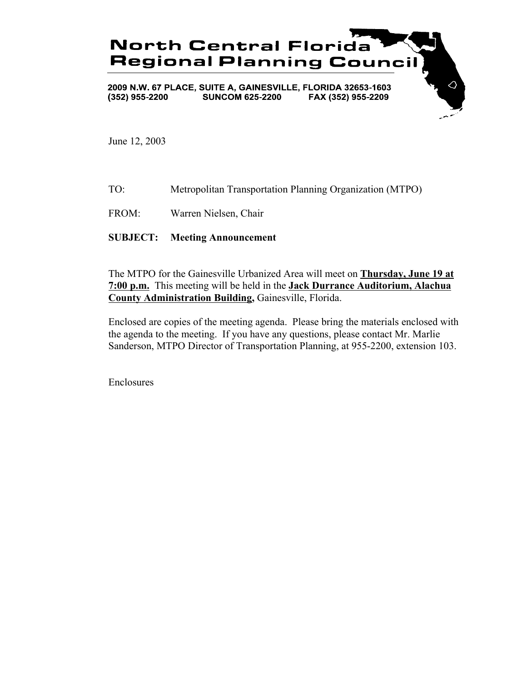

June 12, 2003

- TO: Metropolitan Transportation Planning Organization (MTPO)
- FROM: Warren Nielsen, Chair

# **SUBJECT: Meeting Announcement**

The MTPO for the Gainesville Urbanized Area will meet on **Thursday, June 19 at 7:00 p.m.** This meeting will be held in the **Jack Durrance Auditorium, Alachua County Administration Building,** Gainesville, Florida.

Enclosed are copies of the meeting agenda. Please bring the materials enclosed with the agenda to the meeting. If you have any questions, please contact Mr. Marlie Sanderson, MTPO Director of Transportation Planning, at 955-2200, extension 103.

Enclosures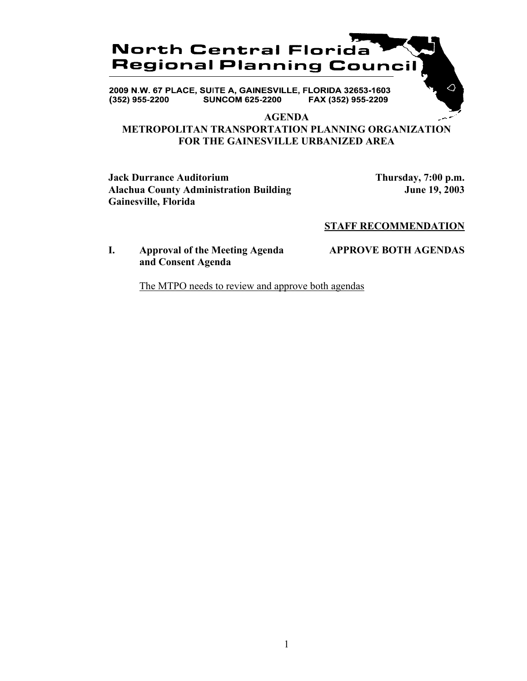# **North Central Florida Regional Planning Council**

2009 N.W. 67 PLACE, SUITE A, GAINESVILLE, FLORIDA 32653-1603 **SUNCOM 625-2200** FAX (352) 955-2209  $(352)$  955-2200

#### **AGENDA**

# **METROPOLITAN TRANSPORTATION PLANNING ORGANIZATION FOR THE GAINESVILLE URBANIZED AREA**

**Jack Durrance Auditorium Thursday, 7:00 p.m.** Alachua County Administration Building **June 19, 2003 Gainesville, Florida**

△

# **STAFF RECOMMENDATION**

# **I. Approval of the Meeting Agenda APPROVE BOTH AGENDAS and Consent Agenda**

The MTPO needs to review and approve both agendas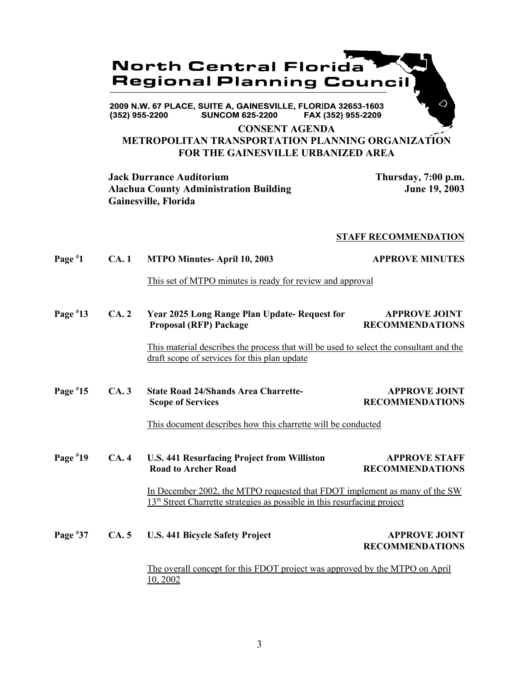

**SUNCOM 625-2200**  $(352)$  955-2200 FAX (352) 955-2209

**CONSENT AGENDA**

# **METROPOLITAN TRANSPORTATION PLANNING ORGANIZATION FOR THE GAINESVILLE URBANIZED AREA**

**Jack Durrance Auditorium Thursday, 7:00 p.m.** Alachua County Administration Building **June 19, 2003 Gainesville, Florida**

## **STAFF RECOMMENDATION**

| Page $*1$  | CA.1 | <b>MTPO Minutes-April 10, 2003</b>                                                                                                                                 | <b>APPROVE MINUTES</b>                         |
|------------|------|--------------------------------------------------------------------------------------------------------------------------------------------------------------------|------------------------------------------------|
|            |      | This set of MTPO minutes is ready for review and approval                                                                                                          |                                                |
| Page $*13$ | CA.2 | Year 2025 Long Range Plan Update-Request for<br><b>Proposal (RFP) Package</b>                                                                                      | <b>APPROVE JOINT</b><br><b>RECOMMENDATIONS</b> |
|            |      | This material describes the process that will be used to select the consultant and the<br>draft scope of services for this plan update                             |                                                |
| Page $*15$ | CA.3 | <b>State Road 24/Shands Area Charrette-</b><br><b>Scope of Services</b>                                                                                            | <b>APPROVE JOINT</b><br><b>RECOMMENDATIONS</b> |
|            |      | This document describes how this charrette will be conducted                                                                                                       |                                                |
| Page $*19$ | CA.4 | U.S. 441 Resurfacing Project from Williston<br><b>Road to Archer Road</b>                                                                                          | <b>APPROVE STAFF</b><br><b>RECOMMENDATIONS</b> |
|            |      | In December 2002, the MTPO requested that FDOT implement as many of the SW<br>13 <sup>th</sup> Street Charrette strategies as possible in this resurfacing project |                                                |
| Page $*37$ | CA.5 | <b>U.S. 441 Bicycle Safety Project</b>                                                                                                                             | <b>APPROVE JOINT</b><br><b>RECOMMENDATIONS</b> |
|            |      | The overall concept for this FDOT project was approved by the MTPO on April<br>10, 2002                                                                            |                                                |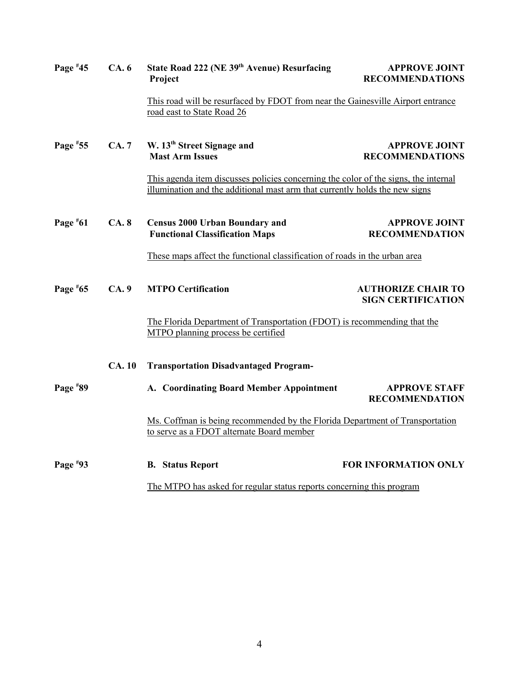| Page $*45$                                                                                                                | CA.6        | State Road 222 (NE 39th Avenue) Resurfacing<br>Project                                                                                                             | <b>APPROVE JOINT</b><br><b>RECOMMENDATIONS</b>         |  |
|---------------------------------------------------------------------------------------------------------------------------|-------------|--------------------------------------------------------------------------------------------------------------------------------------------------------------------|--------------------------------------------------------|--|
|                                                                                                                           |             | This road will be resurfaced by FDOT from near the Gainesville Airport entrance<br>road east to State Road 26                                                      |                                                        |  |
| Page #55                                                                                                                  | <b>CA.7</b> | W. 13 <sup>th</sup> Street Signage and<br><b>Mast Arm Issues</b>                                                                                                   | <b>APPROVE JOINT</b><br><b>RECOMMENDATIONS</b>         |  |
|                                                                                                                           |             | This agenda item discusses policies concerning the color of the signs, the internal<br>illumination and the additional mast arm that currently holds the new signs |                                                        |  |
| Page $*61$                                                                                                                | CA.8        | <b>Census 2000 Urban Boundary and</b><br><b>Functional Classification Maps</b>                                                                                     | <b>APPROVE JOINT</b><br><b>RECOMMENDATION</b>          |  |
| These maps affect the functional classification of roads in the urban area                                                |             |                                                                                                                                                                    |                                                        |  |
| Page $*65$                                                                                                                | CA.9        | <b>MTPO Certification</b>                                                                                                                                          | <b>AUTHORIZE CHAIR TO</b><br><b>SIGN CERTIFICATION</b> |  |
|                                                                                                                           |             | The Florida Department of Transportation (FDOT) is recommending that the<br>MTPO planning process be certified                                                     |                                                        |  |
| <b>CA.10</b>                                                                                                              |             | <b>Transportation Disadvantaged Program-</b>                                                                                                                       |                                                        |  |
| Page #89                                                                                                                  |             | A. Coordinating Board Member Appointment                                                                                                                           | <b>APPROVE STAFF</b><br><b>RECOMMENDATION</b>          |  |
| Ms. Coffman is being recommended by the Florida Department of Transportation<br>to serve as a FDOT alternate Board member |             |                                                                                                                                                                    |                                                        |  |
| Page #93                                                                                                                  |             | <b>B.</b> Status Report                                                                                                                                            | <b>FOR INFORMATION ONLY</b>                            |  |
|                                                                                                                           |             | The MTPO has asked for regular status reports concerning this program                                                                                              |                                                        |  |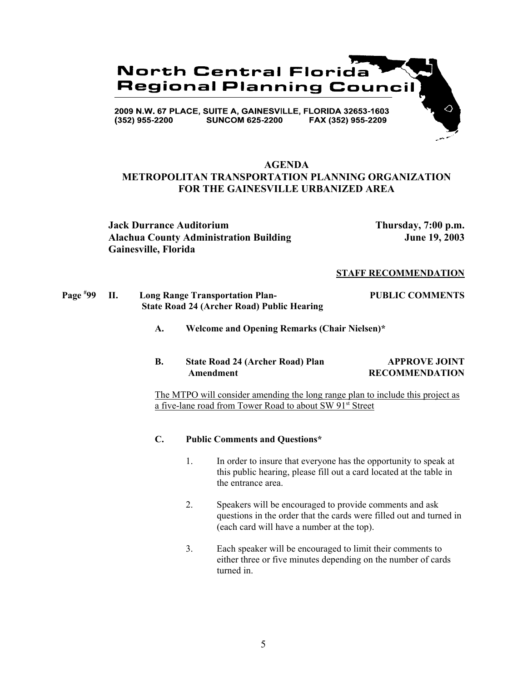

# **AGENDA METROPOLITAN TRANSPORTATION PLANNING ORGANIZATION FOR THE GAINESVILLE URBANIZED AREA**

**Jack Durrance Auditorium Thursday, 7:00 p.m.** Alachua County Administration Building **June 19, 2003 Gainesville, Florida**

#### **STAFF RECOMMENDATION**

#### **Page # 99 II. Long Range Transportation Plan- PUBLIC COMMENTS State Road 24 (Archer Road) Public Hearing**

**A. Welcome and Opening Remarks (Chair Nielsen)\***

### **B.** State Road 24 (Archer Road) Plan APPROVE JOINT Amendment RECOMMENDATION

The MTPO will consider amending the long range plan to include this project as a five-lane road from Tower Road to about SW 91st Street

### **C. Public Comments and Questions\***

- 1. In order to insure that everyone has the opportunity to speak at this public hearing, please fill out a card located at the table in the entrance area.
- 2. Speakers will be encouraged to provide comments and ask questions in the order that the cards were filled out and turned in (each card will have a number at the top).
- 3. Each speaker will be encouraged to limit their comments to either three or five minutes depending on the number of cards turned in.